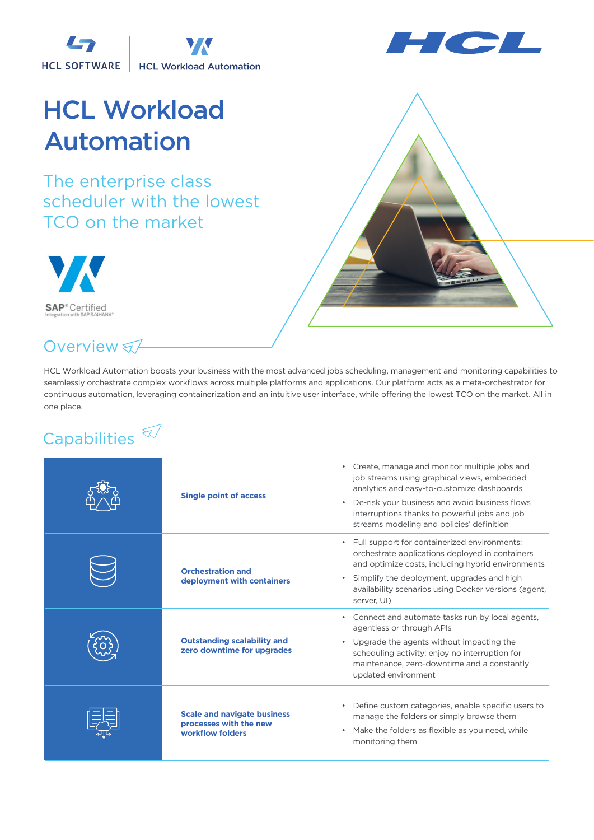LS **HCL SOFTWARE HCL Workload Automation** 



## HCL Workload Automation

The enterprise class scheduler with the lowest TCO on the market



## Overview &

HCL Workload Automation boosts your business with the most advanced jobs scheduling, management and monitoring capabilities to seamlessly orchestrate complex workflows across multiple platforms and applications. Our platform acts as a meta-orchestrator for continuous automation, leveraging containerization and an intuitive user interface, while offering the lowest TCO on the market. All in one place.

## Capabilities  $\widehat{\mathbb{Z}}$

| <b>Single point of access</b>                                                    | • Create, manage and monitor multiple jobs and<br>job streams using graphical views, embedded<br>analytics and easy-to-customize dashboards<br>De-risk your business and avoid business flows<br>$\bullet$<br>interruptions thanks to powerful jobs and job<br>streams modeling and policies' definition |
|----------------------------------------------------------------------------------|----------------------------------------------------------------------------------------------------------------------------------------------------------------------------------------------------------------------------------------------------------------------------------------------------------|
| <b>Orchestration and</b><br>deployment with containers                           | • Full support for containerized environments:<br>orchestrate applications deployed in containers<br>and optimize costs, including hybrid environments<br>Simplify the deployment, upgrades and high<br>$\bullet$<br>availability scenarios using Docker versions (agent,<br>server, UI)                 |
| <b>Outstanding scalability and</b><br>zero downtime for upgrades                 | Connect and automate tasks run by local agents,<br>$\bullet$<br>agentless or through APIs<br>• Upgrade the agents without impacting the<br>scheduling activity: enjoy no interruption for<br>maintenance, zero-downtime and a constantly<br>updated environment                                          |
| <b>Scale and navigate business</b><br>processes with the new<br>workflow folders | Define custom categories, enable specific users to<br>$\bullet$<br>manage the folders or simply browse them<br>Make the folders as flexible as you need, while<br>$\bullet$<br>monitoring them                                                                                                           |